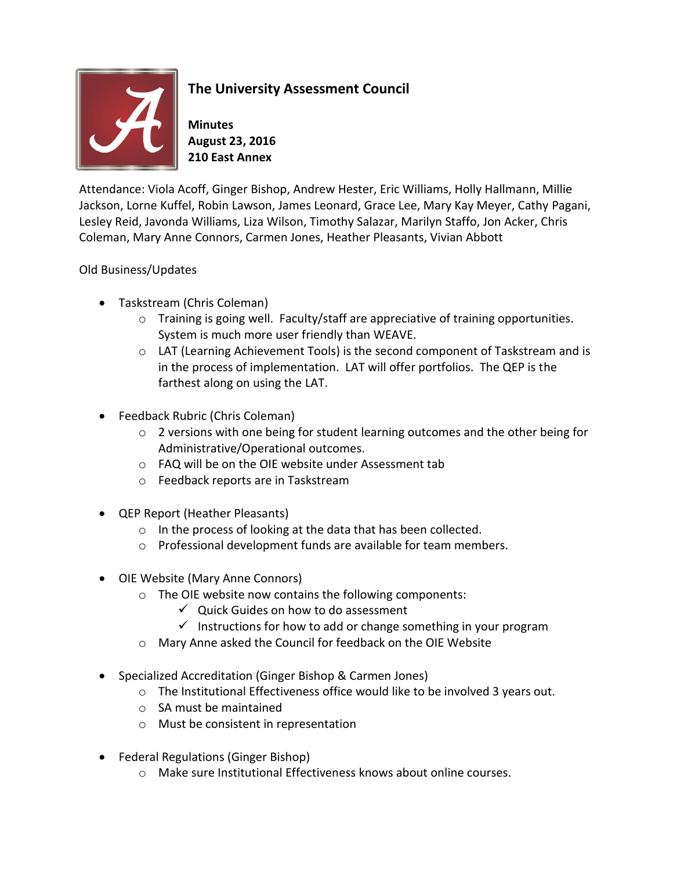

## **The University Assessment Council**

**Minutes August 23, 2016 210 East Annex**

Attendance: Viola Acoff, Ginger Bishop, Andrew Hester, Eric Williams, Holly Hallmann, Millie Jackson, Lorne Kuffel, Robin Lawson, James Leonard, Grace Lee, Mary Kay Meyer, Cathy Pagani, Lesley Reid, Javonda Williams, Liza Wilson, Timothy Salazar, Marilyn Staffo, Jon Acker, Chris Coleman, Mary Anne Connors, Carmen Jones, Heather Pleasants, Vivian Abbott

## Old Business/Updates

- Taskstream (Chris Coleman)
	- $\circ$  Training is going well. Faculty/staff are appreciative of training opportunities. System is much more user friendly than WEAVE.
	- $\circ$  LAT (Learning Achievement Tools) is the second component of Taskstream and is in the process of implementation. LAT will offer portfolios. The QEP is the farthest along on using the LAT.
- Feedback Rubric (Chris Coleman)
	- o 2 versions with one being for student learning outcomes and the other being for Administrative/Operational outcomes.
	- o FAQ will be on the OIE website under Assessment tab
	- o Feedback reports are in Taskstream
- QEP Report (Heather Pleasants)
	- o In the process of looking at the data that has been collected.
	- o Professional development funds are available for team members.
- OIE Website (Mary Anne Connors)
	- o The OIE website now contains the following components:
		- $\checkmark$  Quick Guides on how to do assessment
		- $\checkmark$  Instructions for how to add or change something in your program
	- o Mary Anne asked the Council for feedback on the OIE Website
- Specialized Accreditation (Ginger Bishop & Carmen Jones)
	- $\circ$  The Institutional Effectiveness office would like to be involved 3 years out.
	- o SA must be maintained
	- o Must be consistent in representation
- Federal Regulations (Ginger Bishop)
	- o Make sure Institutional Effectiveness knows about online courses.